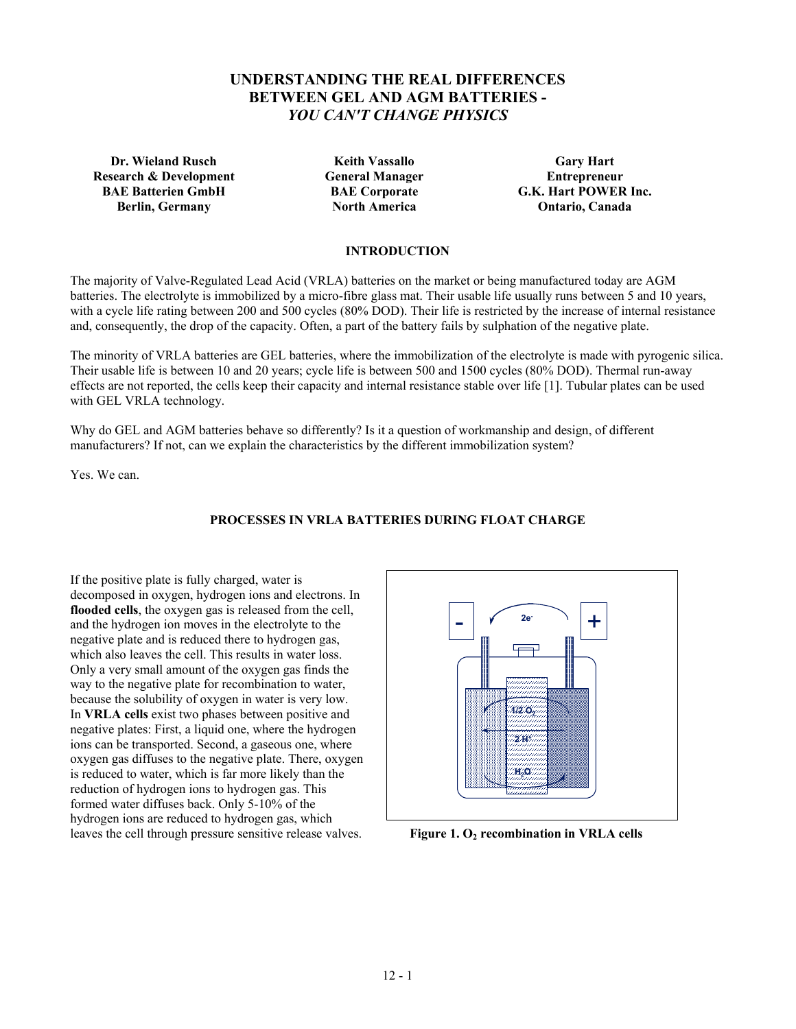# **UNDERSTANDING THE REAL DIFFERENCES BETWEEN GEL AND AGM BATTERIES -**  *YOU CAN'T CHANGE PHYSICS*

**Dr. Wieland Rusch Carry Hart Carry Hart Carry Hart Carry Hart Carry Hart Research & Development General Manager Figure 2.1 Entrepreneur Constants Area Entrepreneur BAE Batterien GmbH BAE Corporate G.K. Hart POWER Inc. Berlin, Germany North America Ontario, Canada** 

# **INTRODUCTION**

The majority of Valve-Regulated Lead Acid (VRLA) batteries on the market or being manufactured today are AGM batteries. The electrolyte is immobilized by a micro-fibre glass mat. Their usable life usually runs between 5 and 10 years, with a cycle life rating between 200 and 500 cycles (80% DOD). Their life is restricted by the increase of internal resistance and, consequently, the drop of the capacity. Often, a part of the battery fails by sulphation of the negative plate.

The minority of VRLA batteries are GEL batteries, where the immobilization of the electrolyte is made with pyrogenic silica. Their usable life is between 10 and 20 years; cycle life is between 500 and 1500 cycles (80% DOD). Thermal run-away effects are not reported, the cells keep their capacity and internal resistance stable over life [1]. Tubular plates can be used with GEL VRLA technology.

Why do GEL and AGM batteries behave so differently? Is it a question of workmanship and design, of different manufacturers? If not, can we explain the characteristics by the different immobilization system?

Yes. We can.

# **PROCESSES IN VRLA BATTERIES DURING FLOAT CHARGE**

If the positive plate is fully charged, water is decomposed in oxygen, hydrogen ions and electrons. In **flooded cells**, the oxygen gas is released from the cell, and the hydrogen ion moves in the electrolyte to the negative plate and is reduced there to hydrogen gas, which also leaves the cell. This results in water loss. Only a very small amount of the oxygen gas finds the way to the negative plate for recombination to water, because the solubility of oxygen in water is very low. In **VRLA cells** exist two phases between positive and negative plates: First, a liquid one, where the hydrogen ions can be transported. Second, a gaseous one, where oxygen gas diffuses to the negative plate. There, oxygen is reduced to water, which is far more likely than the reduction of hydrogen ions to hydrogen gas. This formed water diffuses back. Only 5-10% of the hydrogen ions are reduced to hydrogen gas, which leaves the cell through pressure sensitive release valves. **Figure 1. O<sub>2</sub> recombination in VRLA cells** 

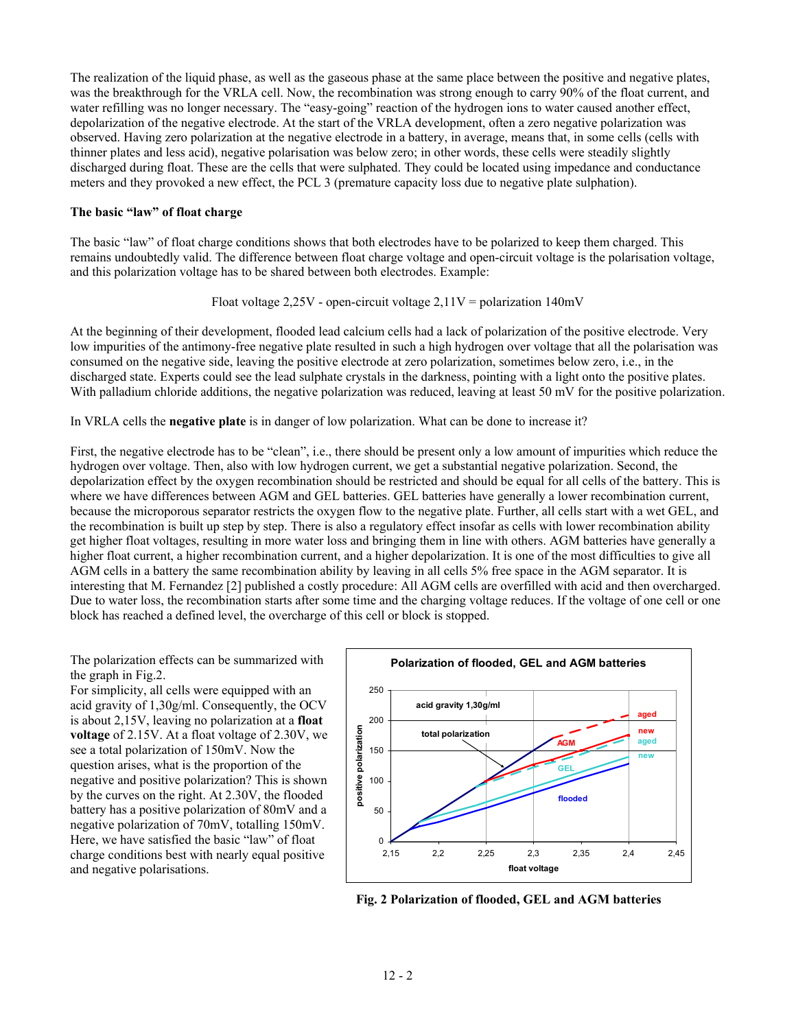The realization of the liquid phase, as well as the gaseous phase at the same place between the positive and negative plates, was the breakthrough for the VRLA cell. Now, the recombination was strong enough to carry 90% of the float current, and water refilling was no longer necessary. The "easy-going" reaction of the hydrogen ions to water caused another effect, depolarization of the negative electrode. At the start of the VRLA development, often a zero negative polarization was observed. Having zero polarization at the negative electrode in a battery, in average, means that, in some cells (cells with thinner plates and less acid), negative polarisation was below zero; in other words, these cells were steadily slightly discharged during float. These are the cells that were sulphated. They could be located using impedance and conductance meters and they provoked a new effect, the PCL 3 (premature capacity loss due to negative plate sulphation).

#### **The basic "law" of float charge**

The basic "law" of float charge conditions shows that both electrodes have to be polarized to keep them charged. This remains undoubtedly valid. The difference between float charge voltage and open-circuit voltage is the polarisation voltage, and this polarization voltage has to be shared between both electrodes. Example:

Float voltage  $2,25V$  - open-circuit voltage  $2,11V =$  polarization 140mV

At the beginning of their development, flooded lead calcium cells had a lack of polarization of the positive electrode. Very low impurities of the antimony-free negative plate resulted in such a high hydrogen over voltage that all the polarisation was consumed on the negative side, leaving the positive electrode at zero polarization, sometimes below zero, i.e., in the discharged state. Experts could see the lead sulphate crystals in the darkness, pointing with a light onto the positive plates. With palladium chloride additions, the negative polarization was reduced, leaving at least 50 mV for the positive polarization.

In VRLA cells the **negative plate** is in danger of low polarization. What can be done to increase it?

First, the negative electrode has to be "clean", i.e., there should be present only a low amount of impurities which reduce the hydrogen over voltage. Then, also with low hydrogen current, we get a substantial negative polarization. Second, the depolarization effect by the oxygen recombination should be restricted and should be equal for all cells of the battery. This is where we have differences between AGM and GEL batteries. GEL batteries have generally a lower recombination current, because the microporous separator restricts the oxygen flow to the negative plate. Further, all cells start with a wet GEL, and the recombination is built up step by step. There is also a regulatory effect insofar as cells with lower recombination ability get higher float voltages, resulting in more water loss and bringing them in line with others. AGM batteries have generally a higher float current, a higher recombination current, and a higher depolarization. It is one of the most difficulties to give all AGM cells in a battery the same recombination ability by leaving in all cells 5% free space in the AGM separator. It is interesting that M. Fernandez [2] published a costly procedure: All AGM cells are overfilled with acid and then overcharged. Due to water loss, the recombination starts after some time and the charging voltage reduces. If the voltage of one cell or one block has reached a defined level, the overcharge of this cell or block is stopped.

The polarization effects can be summarized with the graph in Fig.2.

For simplicity, all cells were equipped with an acid gravity of 1,30g/ml. Consequently, the OCV is about 2,15V, leaving no polarization at a **float voltage** of 2.15V. At a float voltage of 2.30V, we see a total polarization of 150mV. Now the question arises, what is the proportion of the negative and positive polarization? This is shown by the curves on the right. At 2.30V, the flooded battery has a positive polarization of 80mV and a negative polarization of 70mV, totalling 150mV. Here, we have satisfied the basic "law" of float charge conditions best with nearly equal positive and negative polarisations.



 **Fig. 2 Polarization of flooded, GEL and AGM batteries**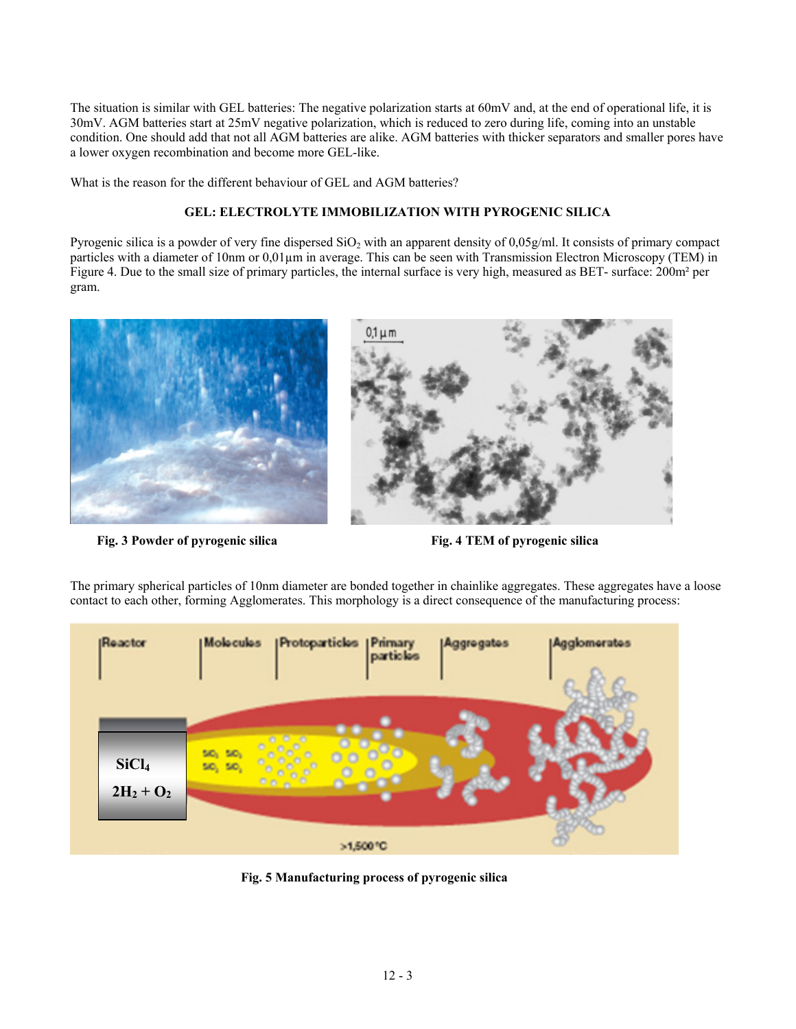The situation is similar with GEL batteries: The negative polarization starts at 60mV and, at the end of operational life, it is 30mV. AGM batteries start at 25mV negative polarization, which is reduced to zero during life, coming into an unstable condition. One should add that not all AGM batteries are alike. AGM batteries with thicker separators and smaller pores have a lower oxygen recombination and become more GEL-like.

What is the reason for the different behaviour of GEL and AGM batteries?

# **GEL: ELECTROLYTE IMMOBILIZATION WITH PYROGENIC SILICA**

Pyrogenic silica is a powder of very fine dispersed  $SiO<sub>2</sub>$  with an apparent density of 0,05g/ml. It consists of primary compact particles with a diameter of 10nm or 0,01µm in average. This can be seen with Transmission Electron Microscopy (TEM) in Figure 4. Due to the small size of primary particles, the internal surface is very high, measured as BET- surface: 200m² per gram.



Fig. 3 Powder of pyrogenic silica **Fig. 4 TEM of pyrogenic silica Fig. 4 TEM of pyrogenic silica** 



The primary spherical particles of 10nm diameter are bonded together in chainlike aggregates. These aggregates have a loose contact to each other, forming Agglomerates. This morphology is a direct consequence of the manufacturing process:

**Fig. 5 Manufacturing process of pyrogenic silica**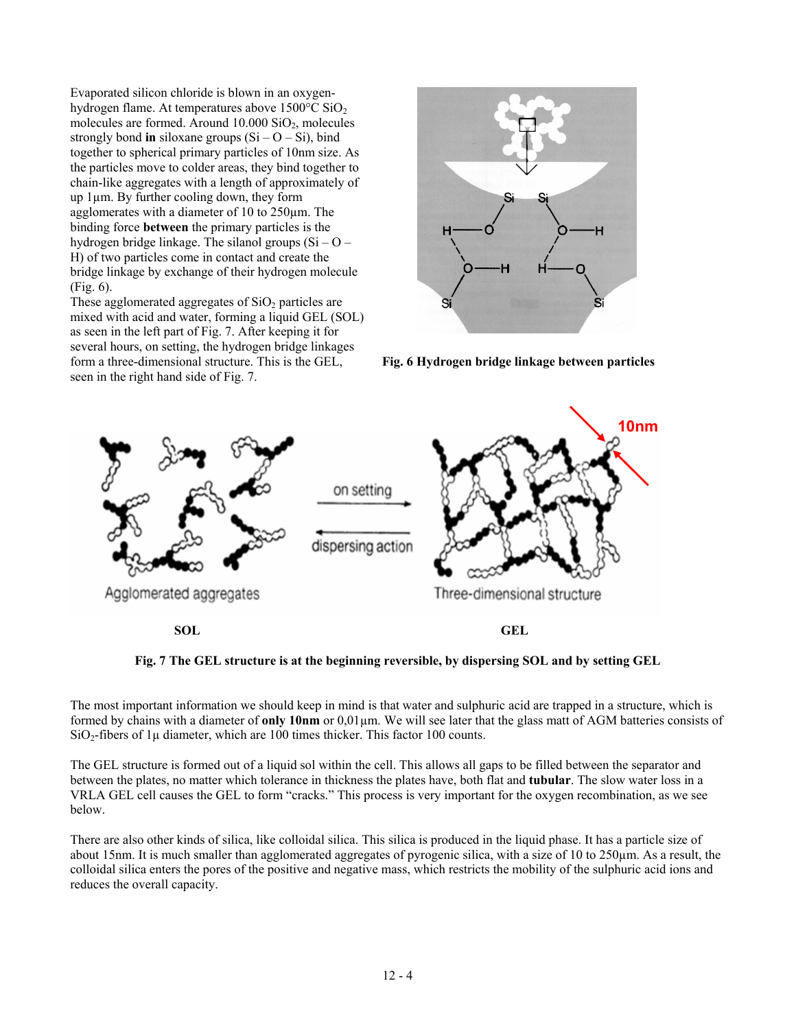Evaporated silicon chloride is blown in an oxygenhydrogen flame. At temperatures above 1500°C SiO<sub>2</sub> molecules are formed. Around  $10.000$   $SiO<sub>2</sub>$ , molecules strongly bond **in** siloxane groups  $(Si - O - Si)$ , bind together to spherical primary particles of 10nm size. As the particles move to colder areas, they bind together to chain-like aggregates with a length of approximately of up 1µm. By further cooling down, they form agglomerates with a diameter of 10 to 250µm. The binding force **between** the primary particles is the hydrogen bridge linkage. The silanol groups (Si – O – H) of two particles come in contact and create the bridge linkage by exchange of their hydrogen molecule (Fig. 6).

These agglomerated aggregates of  $SiO<sub>2</sub>$  particles are mixed with acid and water, forming a liquid GEL (SOL) as seen in the left part of Fig. 7. After keeping it for several hours, on setting, the hydrogen bridge linkages form a three-dimensional structure. This is the GEL, seen in the right hand side of Fig. 7.



**Fig. 6 Hydrogen bridge linkage between particles** 



**Fig. 7 The GEL structure is at the beginning reversible, by dispersing SOL and by setting GEL** 

The most important information we should keep in mind is that water and sulphuric acid are trapped in a structure, which is formed by chains with a diameter of **only 10nm** or 0,01µm. We will see later that the glass matt of AGM batteries consists of  $SiO<sub>2</sub>$ -fibers of 1 $\mu$  diameter, which are 100 times thicker. This factor 100 counts.

The GEL structure is formed out of a liquid sol within the cell. This allows all gaps to be filled between the separator and between the plates, no matter which tolerance in thickness the plates have, both flat and **tubular**. The slow water loss in a VRLA GEL cell causes the GEL to form "cracks." This process is very important for the oxygen recombination, as we see below.

There are also other kinds of silica, like colloidal silica. This silica is produced in the liquid phase. It has a particle size of about 15nm. It is much smaller than agglomerated aggregates of pyrogenic silica, with a size of 10 to 250µm. As a result, the colloidal silica enters the pores of the positive and negative mass, which restricts the mobility of the sulphuric acid ions and reduces the overall capacity.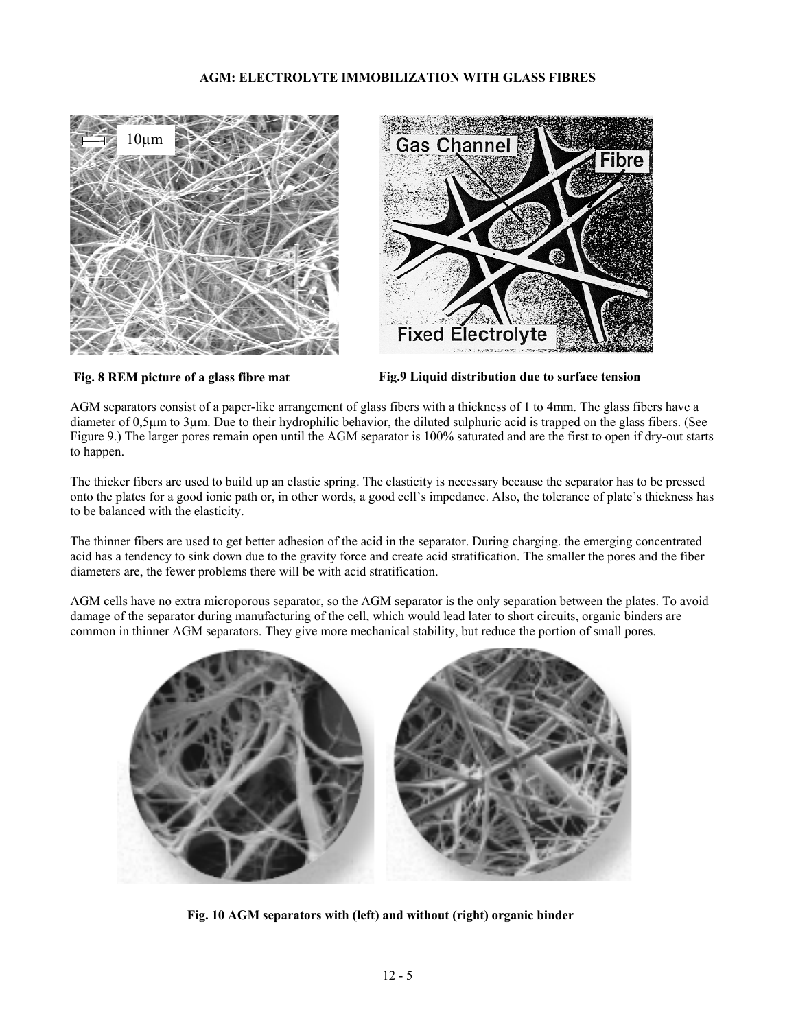## **AGM: ELECTROLYTE IMMOBILIZATION WITH GLASS FIBRES**





**Fig. 8 REM picture of a glass fibre mat Fig.9 Liquid distribution due to surface tension** 

AGM separators consist of a paper-like arrangement of glass fibers with a thickness of 1 to 4mm. The glass fibers have a diameter of 0,5µm to 3µm. Due to their hydrophilic behavior, the diluted sulphuric acid is trapped on the glass fibers. (See Figure 9.) The larger pores remain open until the AGM separator is 100% saturated and are the first to open if dry-out starts to happen.

The thicker fibers are used to build up an elastic spring. The elasticity is necessary because the separator has to be pressed onto the plates for a good ionic path or, in other words, a good cell's impedance. Also, the tolerance of plate's thickness has to be balanced with the elasticity.

The thinner fibers are used to get better adhesion of the acid in the separator. During charging. the emerging concentrated acid has a tendency to sink down due to the gravity force and create acid stratification. The smaller the pores and the fiber diameters are, the fewer problems there will be with acid stratification.

AGM cells have no extra microporous separator, so the AGM separator is the only separation between the plates. To avoid damage of the separator during manufacturing of the cell, which would lead later to short circuits, organic binders are common in thinner AGM separators. They give more mechanical stability, but reduce the portion of small pores.



**Fig. 10 AGM separators with (left) and without (right) organic binder**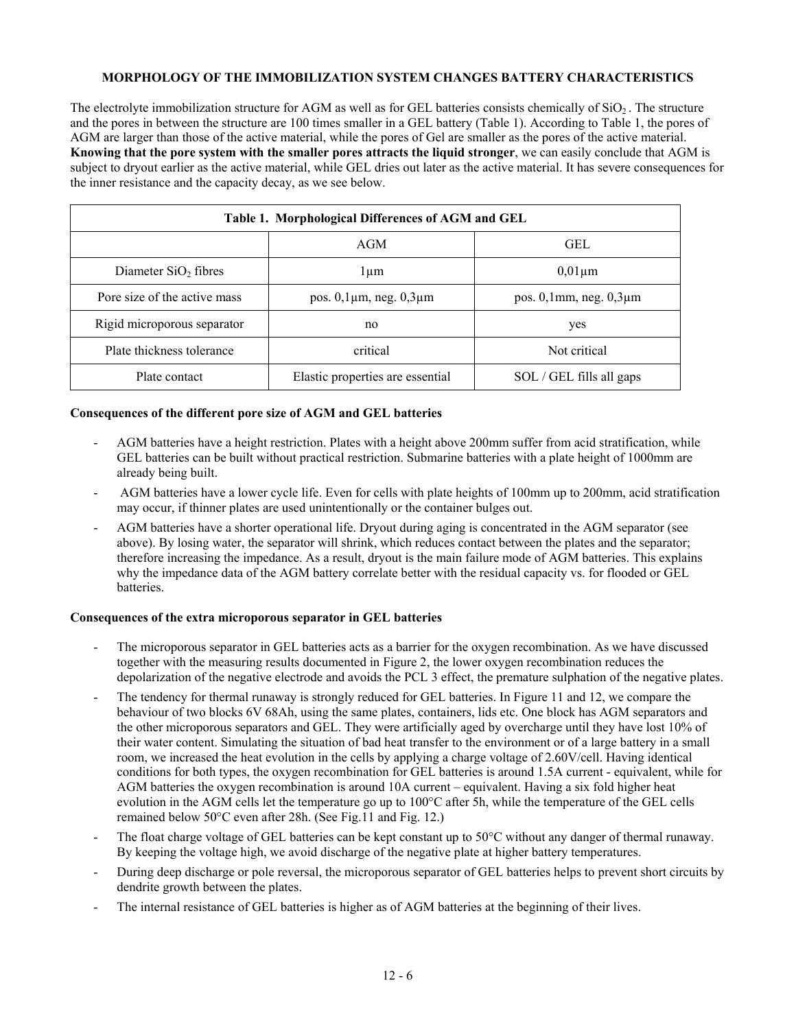# **MORPHOLOGY OF THE IMMOBILIZATION SYSTEM CHANGES BATTERY CHARACTERISTICS**

The electrolyte immobilization structure for AGM as well as for GEL batteries consists chemically of  $SiO<sub>2</sub>$ . The structure and the pores in between the structure are 100 times smaller in a GEL battery (Table 1). According to Table 1, the pores of AGM are larger than those of the active material, while the pores of Gel are smaller as the pores of the active material. **Knowing that the pore system with the smaller pores attracts the liquid stronger**, we can easily conclude that AGM is subject to dryout earlier as the active material, while GEL dries out later as the active material. It has severe consequences for the inner resistance and the capacity decay, as we see below.

| Table 1. Morphological Differences of AGM and GEL |                                     |                                |
|---------------------------------------------------|-------------------------------------|--------------------------------|
|                                                   | AGM                                 | <b>GEL</b>                     |
| Diameter $SiO2$ fibres                            | l um                                | $0.01 \mu m$                   |
| Pore size of the active mass                      | pos. $0,1 \mu m$ , neg. $0,3 \mu m$ | pos. $0,1$ mm, neg. $0,3\mu$ m |
| Rigid microporous separator                       | no                                  | yes                            |
| Plate thickness tolerance                         | critical                            | Not critical                   |
| Plate contact                                     | Elastic properties are essential    | SOL / GEL fills all gaps       |

## **Consequences of the different pore size of AGM and GEL batteries**

- AGM batteries have a height restriction. Plates with a height above 200mm suffer from acid stratification, while GEL batteries can be built without practical restriction. Submarine batteries with a plate height of 1000mm are already being built.
- AGM batteries have a lower cycle life. Even for cells with plate heights of 100mm up to 200mm, acid stratification may occur, if thinner plates are used unintentionally or the container bulges out.
- AGM batteries have a shorter operational life. Dryout during aging is concentrated in the AGM separator (see above). By losing water, the separator will shrink, which reduces contact between the plates and the separator; therefore increasing the impedance. As a result, dryout is the main failure mode of AGM batteries. This explains why the impedance data of the AGM battery correlate better with the residual capacity vs. for flooded or GEL batteries.

## **Consequences of the extra microporous separator in GEL batteries**

- The microporous separator in GEL batteries acts as a barrier for the oxygen recombination. As we have discussed together with the measuring results documented in Figure 2, the lower oxygen recombination reduces the depolarization of the negative electrode and avoids the PCL 3 effect, the premature sulphation of the negative plates.
- The tendency for thermal runaway is strongly reduced for GEL batteries. In Figure 11 and 12, we compare the behaviour of two blocks 6V 68Ah, using the same plates, containers, lids etc. One block has AGM separators and the other microporous separators and GEL. They were artificially aged by overcharge until they have lost 10% of their water content. Simulating the situation of bad heat transfer to the environment or of a large battery in a small room, we increased the heat evolution in the cells by applying a charge voltage of 2.60V/cell. Having identical conditions for both types, the oxygen recombination for GEL batteries is around 1.5A current - equivalent, while for AGM batteries the oxygen recombination is around 10A current – equivalent. Having a six fold higher heat evolution in the AGM cells let the temperature go up to 100°C after 5h, while the temperature of the GEL cells remained below 50°C even after 28h. (See Fig.11 and Fig. 12.)
- The float charge voltage of GEL batteries can be kept constant up to 50°C without any danger of thermal runaway. By keeping the voltage high, we avoid discharge of the negative plate at higher battery temperatures.
- During deep discharge or pole reversal, the microporous separator of GEL batteries helps to prevent short circuits by dendrite growth between the plates.
- The internal resistance of GEL batteries is higher as of AGM batteries at the beginning of their lives.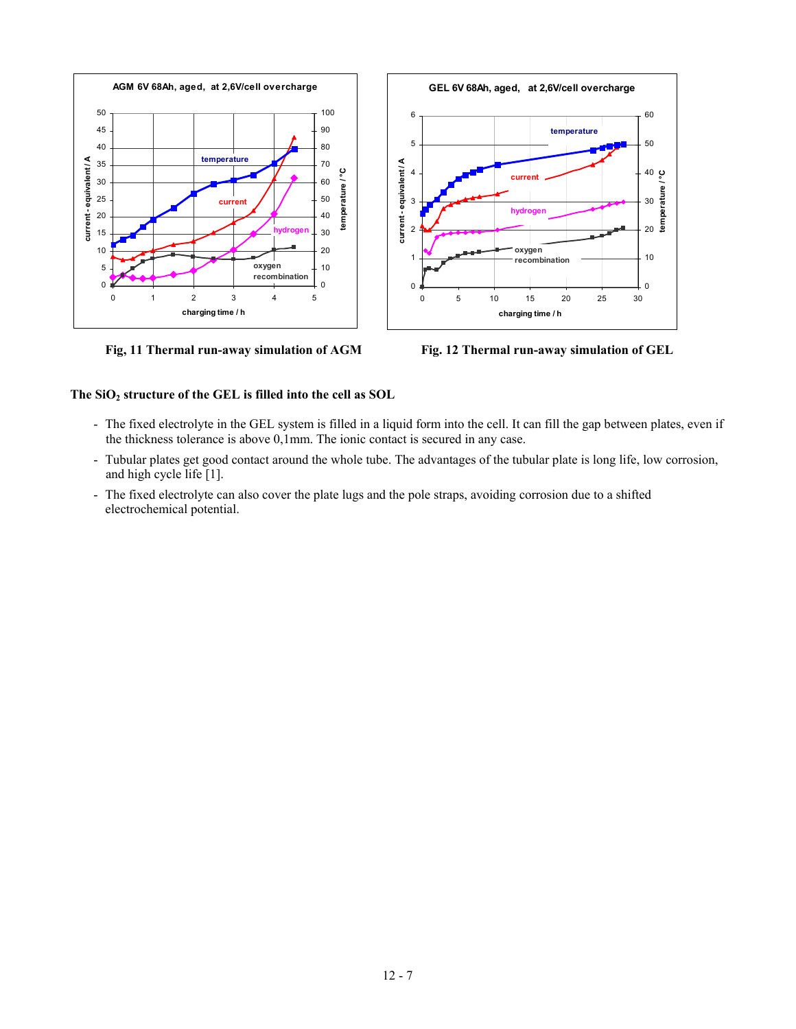



 **Fig, 11 Thermal run-away simulation of AGM Fig. 12 Thermal run-away simulation of GEL** 

# **The SiO2 structure of the GEL is filled into the cell as SOL**

- The fixed electrolyte in the GEL system is filled in a liquid form into the cell. It can fill the gap between plates, even if the thickness tolerance is above 0,1mm. The ionic contact is secured in any case.
- Tubular plates get good contact around the whole tube. The advantages of the tubular plate is long life, low corrosion, and high cycle life [1].
- The fixed electrolyte can also cover the plate lugs and the pole straps, avoiding corrosion due to a shifted electrochemical potential.